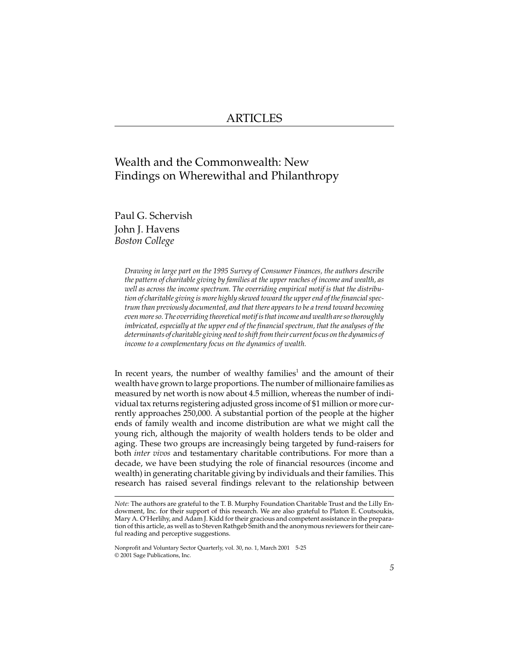# ARTICLES

# Wealth and the Commonwealth: New Findings on Wherewithal and Philanthropy

Paul G. Schervish John J. Havens *Boston College*

> *Drawing in large part on the 1995 Survey of Consumer Finances, the authors describe the pattern of charitable giving by families at the upper reaches of income and wealth, as well as across the income spectrum. The overriding empirical motif is that the distribution of charitable giving is more highly skewed toward the upper end of the financial spectrum than previously documented, and that there appears to be a trend toward becoming even more so. The overriding theoretical motif is that income and wealth are so thoroughly imbricated, especially at the upper end of the financial spectrum, that the analyses of the determinants of charitable giving need to shift from their current focus on the dynamics of income to a complementary focus on the dynamics of wealth.*

In recent years, the number of wealthy families<sup>1</sup> and the amount of their wealth have grown to large proportions. The number of millionaire families as measured by net worth is now about 4.5 million, whereas the number of individual tax returns registering adjusted gross income of \$1 million or more currently approaches 250,000. A substantial portion of the people at the higher ends of family wealth and income distribution are what we might call the young rich, although the majority of wealth holders tends to be older and aging. These two groups are increasingly being targeted by fund-raisers for both *inter vivos* and testamentary charitable contributions. For more than a decade, we have been studying the role of financial resources (income and wealth) in generating charitable giving by individuals and their families. This research has raised several findings relevant to the relationship between

*Note:* The authors are grateful to the T. B. Murphy Foundation Charitable Trust and the Lilly Endowment, Inc. for their support of this research. We are also grateful to Platon E. Coutsoukis, Mary A. O'Herlihy, and Adam J. Kidd for their gracious and competent assistance in the preparation of this article, as well as to Steven Rathgeb Smith and the anonymous reviewers for their careful reading and perceptive suggestions.

Nonprofit and Voluntary Sector Quarterly, vol. 30, no. 1, March 2001 5-25 © 2001 Sage Publications, Inc.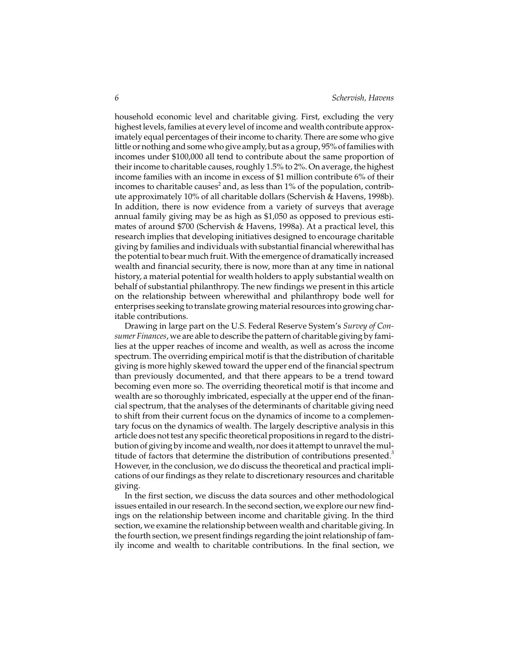household economic level and charitable giving. First, excluding the very highest levels, families at every level of income and wealth contribute approximately equal percentages of their income to charity. There are some who give little or nothing and some who give amply, but as a group, 95% of families with incomes under \$100,000 all tend to contribute about the same proportion of their income to charitable causes, roughly 1.5% to 2%. On average, the highest income families with an income in excess of \$1 million contribute 6% of their incomes to charitable causes<sup>2</sup> and, as less than  $1\%$  of the population, contribute approximately 10% of all charitable dollars (Schervish & Havens, 1998b). In addition, there is now evidence from a variety of surveys that average annual family giving may be as high as \$1,050 as opposed to previous estimates of around \$700 (Schervish & Havens, 1998a). At a practical level, this research implies that developing initiatives designed to encourage charitable giving by families and individuals with substantial financial wherewithal has the potential to bear much fruit. With the emergence of dramatically increased wealth and financial security, there is now, more than at any time in national history, a material potential for wealth holders to apply substantial wealth on behalf of substantial philanthropy. The new findings we present in this article on the relationship between wherewithal and philanthropy bode well for enterprises seeking to translate growing material resources into growing charitable contributions.

Drawing in large part on the U.S. Federal Reserve System's *Survey of Consumer Finances*, we are able to describe the pattern of charitable giving by families at the upper reaches of income and wealth, as well as across the income spectrum. The overriding empirical motif is that the distribution of charitable giving is more highly skewed toward the upper end of the financial spectrum than previously documented, and that there appears to be a trend toward becoming even more so. The overriding theoretical motif is that income and wealth are so thoroughly imbricated, especially at the upper end of the financial spectrum, that the analyses of the determinants of charitable giving need to shift from their current focus on the dynamics of income to a complementary focus on the dynamics of wealth. The largely descriptive analysis in this article does not test any specific theoretical propositions in regard to the distribution of giving by income and wealth, nor does it attempt to unravel the multitude of factors that determine the distribution of contributions presented.<sup>3</sup> However, in the conclusion, we do discuss the theoretical and practical implications of our findings as they relate to discretionary resources and charitable giving.

In the first section, we discuss the data sources and other methodological issues entailed in our research. In the second section, we explore our new findings on the relationship between income and charitable giving. In the third section, we examine the relationship between wealth and charitable giving. In the fourth section, we present findings regarding the joint relationship of family income and wealth to charitable contributions. In the final section, we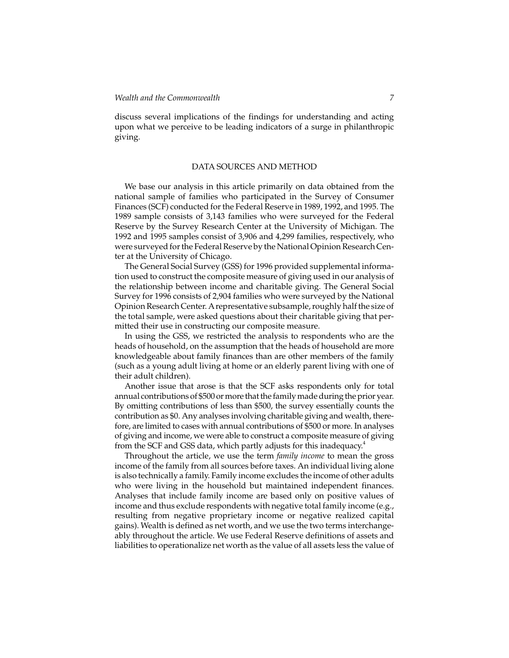discuss several implications of the findings for understanding and acting upon what we perceive to be leading indicators of a surge in philanthropic giving.

#### DATA SOURCES AND METHOD

We base our analysis in this article primarily on data obtained from the national sample of families who participated in the Survey of Consumer Finances (SCF) conducted for the Federal Reserve in 1989, 1992, and 1995. The 1989 sample consists of 3,143 families who were surveyed for the Federal Reserve by the Survey Research Center at the University of Michigan. The 1992 and 1995 samples consist of 3,906 and 4,299 families, respectively, who were surveyed for the Federal Reserve by the National Opinion Research Center at the University of Chicago.

The General Social Survey (GSS) for 1996 provided supplemental information used to construct the composite measure of giving used in our analysis of the relationship between income and charitable giving. The General Social Survey for 1996 consists of 2,904 families who were surveyed by the National Opinion Research Center. Arepresentative subsample, roughly half the size of the total sample, were asked questions about their charitable giving that permitted their use in constructing our composite measure.

In using the GSS, we restricted the analysis to respondents who are the heads of household, on the assumption that the heads of household are more knowledgeable about family finances than are other members of the family (such as a young adult living at home or an elderly parent living with one of their adult children).

Another issue that arose is that the SCF asks respondents only for total annual contributions of \$500 or more that the family made during the prior year. By omitting contributions of less than \$500, the survey essentially counts the contribution as \$0. Any analyses involving charitable giving and wealth, therefore, are limited to cases with annual contributions of \$500 or more. In analyses of giving and income, we were able to construct a composite measure of giving from the SCF and GSS data, which partly adjusts for this inadequacy.<sup>4</sup>

Throughout the article, we use the term *family income* to mean the gross income of the family from all sources before taxes. An individual living alone is also technically a family. Family income excludes the income of other adults who were living in the household but maintained independent finances. Analyses that include family income are based only on positive values of income and thus exclude respondents with negative total family income (e.g., resulting from negative proprietary income or negative realized capital gains). Wealth is defined as net worth, and we use the two terms interchangeably throughout the article. We use Federal Reserve definitions of assets and liabilities to operationalize net worth as the value of all assets less the value of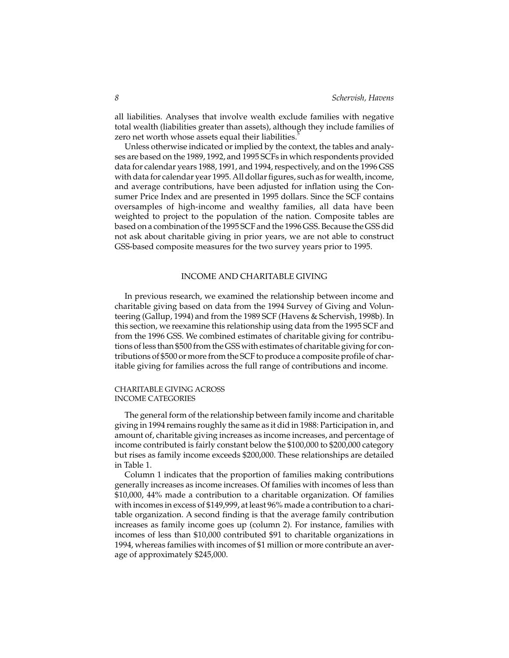all liabilities. Analyses that involve wealth exclude families with negative total wealth (liabilities greater than assets), although they include families of zero net worth whose assets equal their liabilities.<sup>5</sup>

Unless otherwise indicated or implied by the context, the tables and analyses are based on the 1989, 1992, and 1995 SCFs in which respondents provided data for calendar years 1988, 1991, and 1994, respectively, and on the 1996 GSS with data for calendar year 1995. All dollar figures, such as for wealth, income, and average contributions, have been adjusted for inflation using the Consumer Price Index and are presented in 1995 dollars. Since the SCF contains oversamples of high-income and wealthy families, all data have been weighted to project to the population of the nation. Composite tables are based on a combination of the 1995 SCF and the 1996 GSS. Because the GSS did not ask about charitable giving in prior years, we are not able to construct GSS-based composite measures for the two survey years prior to 1995.

## INCOME AND CHARITABLE GIVING

In previous research, we examined the relationship between income and charitable giving based on data from the 1994 Survey of Giving and Volunteering (Gallup, 1994) and from the 1989 SCF (Havens & Schervish, 1998b). In this section, we reexamine this relationship using data from the 1995 SCF and from the 1996 GSS. We combined estimates of charitable giving for contributions of less than \$500 from the GSS with estimates of charitable giving for contributions of \$500 or more from the SCF to produce a composite profile of charitable giving for families across the full range of contributions and income.

### CHARITABLE GIVING ACROSS INCOME CATEGORIES

The general form of the relationship between family income and charitable giving in 1994 remains roughly the same as it did in 1988: Participation in, and amount of, charitable giving increases as income increases, and percentage of income contributed is fairly constant below the \$100,000 to \$200,000 category but rises as family income exceeds \$200,000. These relationships are detailed in Table 1.

Column 1 indicates that the proportion of families making contributions generally increases as income increases. Of families with incomes of less than \$10,000, 44% made a contribution to a charitable organization. Of families with incomes in excess of \$149,999, at least 96% made a contribution to a charitable organization. A second finding is that the average family contribution increases as family income goes up (column 2). For instance, families with incomes of less than \$10,000 contributed \$91 to charitable organizations in 1994, whereas families with incomes of \$1 million or more contribute an average of approximately \$245,000.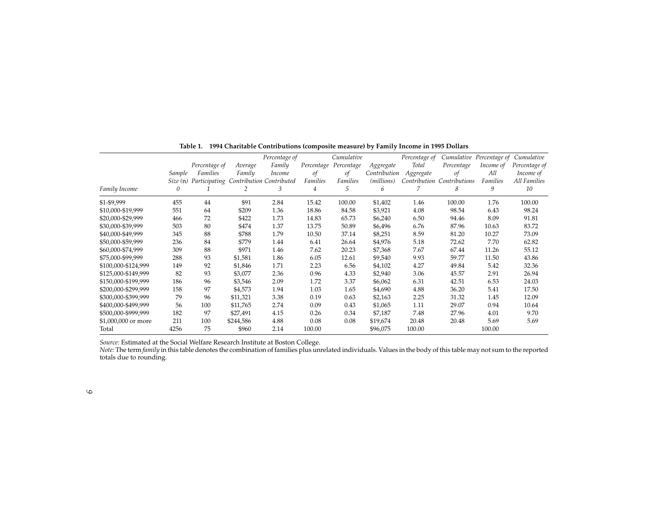|                     |         |                                        |           | Percentage of |          | Cumulative            |              | Percentage of |                            |           | Cumulative Percentage of Cumulative |
|---------------------|---------|----------------------------------------|-----------|---------------|----------|-----------------------|--------------|---------------|----------------------------|-----------|-------------------------------------|
|                     |         | Percentage of                          | Average   | Family        |          | Percentage Percentage | Aggregate    | Total         | Percentage                 | Income of | Percentage of                       |
|                     | Sample  | <b>Families</b>                        | Family    | Income        | οf       | οf                    | Contribution | Aggregate     | οf                         | All       | Income of                           |
|                     | Size(n) | Participating Contribution Contributed |           |               | Families | Families              | (millions)   |               | Contribution Contributions | Families  | All Families                        |
| Family Income       | 0       |                                        | 2         | 3             | 4        | 5                     | 6            |               | 8                          | 9         | 10                                  |
| \$1-\$9,999         | 455     | 44                                     | \$91      | 2.84          | 15.42    | 100.00                | \$1,402      | 1.46          | 100.00                     | 1.76      | 100.00                              |
| \$10,000-\$19,999   | 551     | 64                                     | \$209     | 1.36          | 18.86    | 84.58                 | \$3,921      | 4.08          | 98.54                      | 6.43      | 98.24                               |
| \$20,000-\$29,999   | 466     | 72                                     | \$422     | 1.73          | 14.83    | 65.73                 | \$6,240      | 6.50          | 94.46                      | 8.09      | 91.81                               |
| \$30,000-\$39,999   | 503     | 80                                     | \$474     | 1.37          | 13.75    | 50.89                 | \$6,496      | 6.76          | 87.96                      | 10.63     | 83.72                               |
| \$40,000-\$49,999   | 345     | 88                                     | \$788     | 1.79          | 10.50    | 37.14                 | \$8,251      | 8.59          | 81.20                      | 10.27     | 73.09                               |
| \$50,000-\$59,999   | 236     | 84                                     | \$779     | 1.44          | 6.41     | 26.64                 | \$4,976      | 5.18          | 72.62                      | 7.70      | 62.82                               |
| \$60,000-\$74,999   | 309     | 88                                     | \$971     | 1.46          | 7.62     | 20.23                 | \$7,368      | 7.67          | 67.44                      | 11.26     | 55.12                               |
| \$75,000-\$99,999   | 288     | 93                                     | \$1,581   | 1.86          | 6.05     | 12.61                 | \$9,540      | 9.93          | 59.77                      | 11.50     | 43.86                               |
| \$100,000-\$124,999 | 149     | 92                                     | \$1,846   | 1.71          | 2.23     | 6.56                  | \$4,102      | 4.27          | 49.84                      | 5.42      | 32.36                               |
| \$125,000-\$149,999 | 82      | 93                                     | \$3,077   | 2.36          | 0.96     | 4.33                  | \$2,940      | 3.06          | 45.57                      | 2.91      | 26.94                               |
| \$150,000-\$199,999 | 186     | 96                                     | \$3,546   | 2.09          | 1.72     | 3.37                  | \$6,062      | 6.31          | 42.51                      | 6.53      | 24.03                               |
| \$200,000-\$299,999 | 158     | 97                                     | \$4,573   | 1.94          | 1.03     | 1.65                  | \$4,690      | 4.88          | 36.20                      | 5.41      | 17.50                               |
| \$300,000-\$399,999 | 79      | 96                                     | \$11,321  | 3.38          | 0.19     | 0.63                  | \$2,163      | 2.25          | 31.32                      | 1.45      | 12.09                               |
| \$400,000-\$499,999 | 56      | 100                                    | \$11,765  | 2.74          | 0.09     | 0.43                  | \$1,065      | 1.11          | 29.07                      | 0.94      | 10.64                               |
| \$500,000-\$999,999 | 182     | 97                                     | \$27,491  | 4.15          | 0.26     | 0.34                  | \$7,187      | 7.48          | 27.96                      | 4.01      | 9.70                                |
| \$1,000,000 or more | 211     | 100                                    | \$244,586 | 4.88          | 0.08     | 0.08                  | \$19,674     | 20.48         | 20.48                      | 5.69      | 5.69                                |
| Total               | 4256    | 75                                     | \$960     | 2.14          | 100.00   |                       | \$96,075     | 100.00        |                            | 100.00    |                                     |

**Table 1. 1994 Charitable Contributions (composite measure) by Family Income in 1995 Dollars**

*Source: Estimated at the Social Welfare Research Institute at Boston College.*<br>*Note:* The term*family* in this table denotes the combination of families plus unrelated individuals. Values in the body of this table may no totals due to rounding.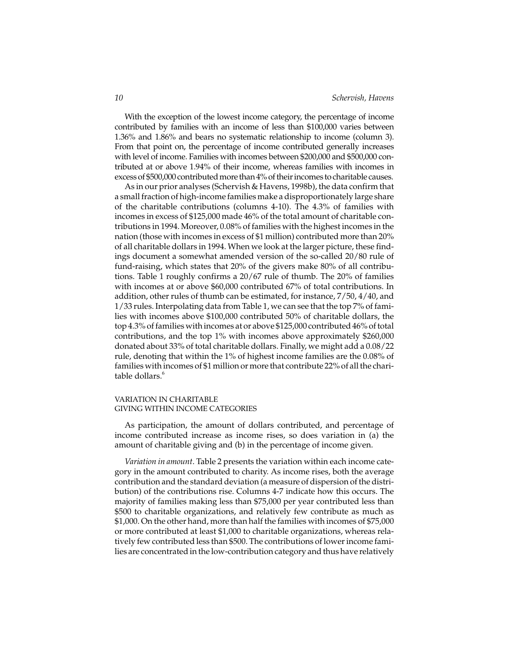With the exception of the lowest income category, the percentage of income contributed by families with an income of less than \$100,000 varies between 1.36% and 1.86% and bears no systematic relationship to income (column 3). From that point on, the percentage of income contributed generally increases with level of income. Families with incomes between \$200,000 and \$500,000 contributed at or above 1.94% of their income, whereas families with incomes in excess of \$500,000 contributed more than 4% of their incomes to charitable causes.

As in our prior analyses (Schervish & Havens, 1998b), the data confirm that a small fraction of high-income families make a disproportionately large share of the charitable contributions (columns 4-10). The 4.3% of families with incomes in excess of \$125,000 made 46% of the total amount of charitable contributions in 1994. Moreover, 0.08% of families with the highest incomes in the nation (those with incomes in excess of \$1 million) contributed more than 20% of all charitable dollars in 1994. When we look at the larger picture, these findings document a somewhat amended version of the so-called 20/80 rule of fund-raising, which states that 20% of the givers make 80% of all contributions. Table 1 roughly confirms a 20/67 rule of thumb. The 20% of families with incomes at or above \$60,000 contributed 67% of total contributions. In addition, other rules of thumb can be estimated, for instance, 7/50, 4/40, and 1/33 rules. Interpolating data from Table 1, we can see that the top 7% of families with incomes above \$100,000 contributed 50% of charitable dollars, the top 4.3% of families with incomes at or above \$125,000 contributed 46% of total contributions, and the top 1% with incomes above approximately \$260,000 donated about 33% of total charitable dollars. Finally, we might add a 0.08/22 rule, denoting that within the 1% of highest income families are the 0.08% of families with incomes of \$1 million or more that contribute 22% of all the charitable dollars.<sup>6</sup>

#### VARIATION IN CHARITABLE GIVING WITHIN INCOME CATEGORIES

As participation, the amount of dollars contributed, and percentage of income contributed increase as income rises, so does variation in (a) the amount of charitable giving and (b) in the percentage of income given.

*Variation in amount*. Table 2 presents the variation within each income category in the amount contributed to charity. As income rises, both the average contribution and the standard deviation (a measure of dispersion of the distribution) of the contributions rise. Columns 4-7 indicate how this occurs. The majority of families making less than \$75,000 per year contributed less than \$500 to charitable organizations, and relatively few contribute as much as \$1,000. On the other hand, more than half the families with incomes of \$75,000 or more contributed at least \$1,000 to charitable organizations, whereas relatively few contributed less than \$500. The contributions of lower income families are concentrated in the low-contribution category and thus have relatively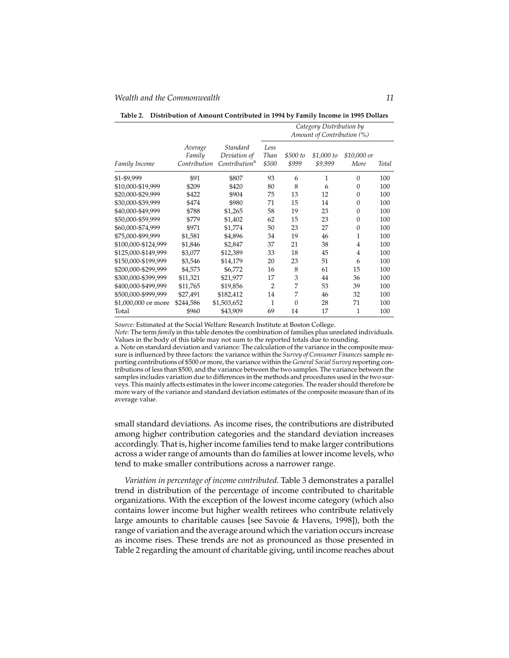**Table 2. Distribution of Amount Contributed in 1994 by Family Income in 1995 Dollars**

|                     |                                   |                                                       |                       | Category Distribution by<br>Amount of Contribution (%) |                       |                     |       |  |  |
|---------------------|-----------------------------------|-------------------------------------------------------|-----------------------|--------------------------------------------------------|-----------------------|---------------------|-------|--|--|
| Family Income       | Average<br>Family<br>Contribution | Standard<br>Deviation of<br>Contribution <sup>a</sup> | Less<br>Than<br>\$500 | \$500 to<br>\$999                                      | \$1,000 to<br>\$9,999 | \$10,000 or<br>More | Total |  |  |
| \$1-\$9,999         | \$91                              | \$807                                                 | 93                    | 6                                                      | 1                     | $\mathbf{0}$        | 100   |  |  |
| \$10,000-\$19,999   | \$209                             | \$420                                                 | 80                    | 8                                                      | 6                     | $\mathbf{0}$        | 100   |  |  |
| \$20,000-\$29,999   | \$422                             | \$904                                                 | 75                    | 13                                                     | 12                    | $\mathbf{0}$        | 100   |  |  |
| \$30,000-\$39,999   | \$474                             | \$980                                                 | 71                    | 15                                                     | 14                    | $\Omega$            | 100   |  |  |
| \$40,000-\$49,999   | \$788                             | \$1,265                                               | 58                    | 19                                                     | 23                    | $\mathbf{0}$        | 100   |  |  |
| \$50,000-\$59,999   | \$779                             | \$1,402                                               | 62                    | 15                                                     | 23                    | $\mathbf{0}$        | 100   |  |  |
| \$60,000-\$74,999   | \$971                             | \$1,774                                               | 50                    | 23                                                     | 27                    | $\mathbf{0}$        | 100   |  |  |
| \$75,000-\$99,999   | \$1,581                           | \$4,896                                               | 34                    | 19                                                     | 46                    | $\mathbf{1}$        | 100   |  |  |
| \$100,000-\$124,999 | \$1,846                           | \$2,847                                               | 37                    | 21                                                     | 38                    | 4                   | 100   |  |  |
| \$125,000-\$149,999 | \$3,077                           | \$12,389                                              | 33                    | 18                                                     | 45                    | 4                   | 100   |  |  |
| \$150,000-\$199,999 | \$3,546                           | \$14,179                                              | 20                    | 23                                                     | 51                    | 6                   | 100   |  |  |
| \$200,000-\$299,999 | \$4,573                           | \$6,772                                               | 16                    | 8                                                      | 61                    | 15                  | 100   |  |  |
| \$300,000-\$399,999 | \$11,321                          | \$21,977                                              | 17                    | 3                                                      | 44                    | 36                  | 100   |  |  |
| \$400,000-\$499,999 | \$11,765                          | \$19,856                                              | $\overline{2}$        | 7                                                      | 53                    | 39                  | 100   |  |  |
| \$500,000-\$999,999 | \$27,491                          | \$182,412                                             | 14                    | 7                                                      | 46                    | 32                  | 100   |  |  |
| \$1,000,000 or more | \$244,586                         | \$1,503,652                                           | 1                     | $\theta$                                               | 28                    | 71                  | 100   |  |  |
| Total               | \$960                             | \$43,909                                              | 69                    | 14                                                     | 17                    | 1                   | 100   |  |  |

*Note:* The term *family* in this table denotes the combination of families plus unrelated individuals. Values in the body of this table may not sum to the reported totals due to rounding.

a. Note on standard deviation and variance: The calculation of the variance in the composite measure is influenced by three factors: the variance within the *Survey of Consumer Finances* sample reporting contributions of \$500 or more, the variance within the *General Social Survey* reporting contributions of less than \$500, and the variance between the two samples. The variance between the samples includes variation due to differences in the methods and procedures used in the two surveys. This mainly affects estimates in the lower income categories. The reader should therefore be more wary of the variance and standard deviation estimates of the composite measure than of its average value.

small standard deviations. As income rises, the contributions are distributed among higher contribution categories and the standard deviation increases accordingly. That is, higher income families tend to make larger contributions across a wider range of amounts than do families at lower income levels, who tend to make smaller contributions across a narrower range.

*Variation in percentage of income contributed*. Table 3 demonstrates a parallel trend in distribution of the percentage of income contributed to charitable organizations. With the exception of the lowest income category (which also contains lower income but higher wealth retirees who contribute relatively large amounts to charitable causes [see Savoie & Havens, 1998]), both the range of variation and the average around which the variation occurs increase as income rises. These trends are not as pronounced as those presented in Table 2 regarding the amount of charitable giving, until income reaches about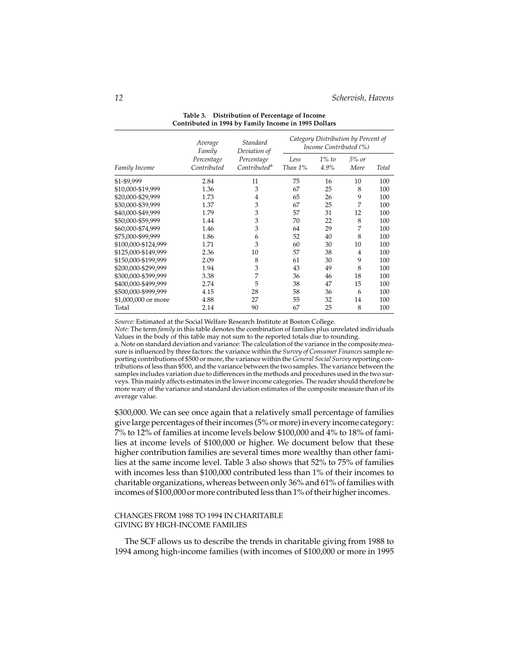|                     | Average<br>Family         | Standard<br>Deviation of               | Category Distribution by Percent of<br>Income Contributed (%) |                  |                  |       |  |
|---------------------|---------------------------|----------------------------------------|---------------------------------------------------------------|------------------|------------------|-------|--|
| Family Income       | Percentage<br>Contributed | Percentage<br>Contributed <sup>a</sup> | Less<br>Than 1%                                               | $1\%$ to<br>4.9% | $5\%$ or<br>More | Total |  |
| \$1-\$9,999         | 2.84                      | 11                                     | 75                                                            | 16               | 10               | 100   |  |
| \$10,000-\$19,999   | 1.36                      | 3                                      | 67                                                            | 25               | 8                | 100   |  |
| \$20,000-\$29,999   | 1.73                      | 4                                      | 65                                                            | 26               | 9                | 100   |  |
| \$30,000-\$39,999   | 1.37                      | 3                                      | 67                                                            | 25               | 7                | 100   |  |
| \$40,000-\$49,999   | 1.79                      | 3                                      | 57                                                            | 31               | 12               | 100   |  |
| \$50,000-\$59,999   | 1.44                      | 3                                      | 70                                                            | 22               | 8                | 100   |  |
| \$60,000-\$74,999   | 1.46                      | 3                                      | 64                                                            | 29               | 7                | 100   |  |
| \$75,000-\$99,999   | 1.86                      | 6                                      | 52                                                            | 40               | 8                | 100   |  |
| \$100,000-\$124,999 | 1.71                      | 3                                      | 60                                                            | 30               | 10               | 100   |  |
| \$125,000-\$149,999 | 2.36                      | 10                                     | 57                                                            | 38               | 4                | 100   |  |
| \$150,000-\$199,999 | 2.09                      | 8                                      | 61                                                            | 30               | 9                | 100   |  |
| \$200,000-\$299,999 | 1.94                      | 3                                      | 43                                                            | 49               | 8                | 100   |  |
| \$300,000-\$399,999 | 3.38                      | 7                                      | 36                                                            | 46               | 18               | 100   |  |
| \$400,000-\$499,999 | 2.74                      | 5                                      | 38                                                            | 47               | 15               | 100   |  |
| \$500,000-\$999,999 | 4.15                      | 28                                     | 58                                                            | 36               | 6                | 100   |  |
| \$1,000,000 or more | 4.88                      | 27                                     | 55                                                            | 32               | 14               | 100   |  |
| Total               | 2.14                      | 90                                     | 67                                                            | 25               | 8                | 100   |  |

**Table 3. Distribution of Percentage of Income Contributed in 1994 by Family Income in 1995 Dollars**

*Note:* The term *family* in this table denotes the combination of families plus unrelated individuals Values in the body of this table may not sum to the reported totals due to rounding.

a. Note on standard deviation and variance: The calculation of the variance in the composite measure is influenced by three factors: the variance within the *Survey of Consumer Finances* sample reporting contributions of \$500 or more, the variance within the *General Social Survey* reporting contributions of less than \$500, and the variance between the two samples. The variance between the samples includes variation due to differences in the methods and procedures used in the two surveys. This mainly affects estimates in the lower income categories. The reader should therefore be more wary of the variance and standard deviation estimates of the composite measure than of its average value.

\$300,000. We can see once again that a relatively small percentage of families give large percentages of their incomes (5% or more) in every income category: 7% to 12% of families at income levels below \$100,000 and 4% to 18% of families at income levels of \$100,000 or higher. We document below that these higher contribution families are several times more wealthy than other families at the same income level. Table 3 also shows that 52% to 75% of families with incomes less than \$100,000 contributed less than 1% of their incomes to charitable organizations, whereas between only 36% and 61% of families with incomes of \$100,000 or more contributed less than 1% of their higher incomes.

# CHANGES FROM 1988 TO 1994 IN CHARITABLE GIVING BY HIGH-INCOME FAMILIES

The SCF allows us to describe the trends in charitable giving from 1988 to 1994 among high-income families (with incomes of \$100,000 or more in 1995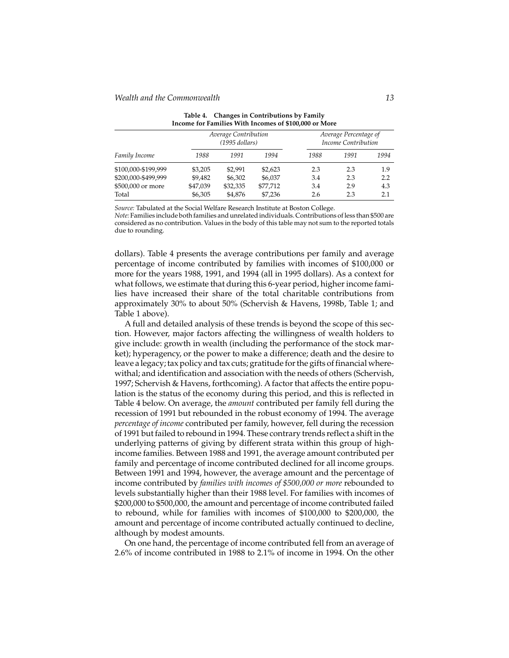|                     |          | Average Contribution<br>$(1995$ dollars) |          | Average Percentage of<br>Income Contribution |      |      |  |
|---------------------|----------|------------------------------------------|----------|----------------------------------------------|------|------|--|
| Family Income       | 1988     | 1991                                     | 1994     | 1988                                         | 1991 | 1994 |  |
| \$100,000-\$199,999 | \$3,205  | \$2,991                                  | \$2,623  | 2.3                                          | 2.3  | 1.9  |  |
| \$200,000-\$499,999 | \$9,482  | \$6,302                                  | \$6,037  | 3.4                                          | 2.3  | 2.2  |  |
| \$500,000 or more   | \$47,039 | \$32,335                                 | \$77,712 | 3.4                                          | 2.9  | 4.3  |  |
| Total               | \$6,305  | \$4,876                                  | \$7,236  | 2.6                                          | 2.3  | 2.1  |  |

| Table 4. Changes in Contributions by Family           |
|-------------------------------------------------------|
| Income for Families With Incomes of \$100,000 or More |

*Note:* Families include both families and unrelated individuals. Contributions of less than \$500 are considered as no contribution. Values in the body of this table may not sum to the reported totals due to rounding.

dollars). Table 4 presents the average contributions per family and average percentage of income contributed by families with incomes of \$100,000 or more for the years 1988, 1991, and 1994 (all in 1995 dollars). As a context for what follows, we estimate that during this 6-year period, higher income families have increased their share of the total charitable contributions from approximately 30% to about 50% (Schervish & Havens, 1998b, Table 1; and Table 1 above).

A full and detailed analysis of these trends is beyond the scope of this section. However, major factors affecting the willingness of wealth holders to give include: growth in wealth (including the performance of the stock market); hyperagency, or the power to make a difference; death and the desire to leave a legacy; tax policy and tax cuts; gratitude for the gifts of financial wherewithal; and identification and association with the needs of others (Schervish, 1997; Schervish & Havens, forthcoming). A factor that affects the entire population is the status of the economy during this period, and this is reflected in Table 4 below. On average, the *amount* contributed per family fell during the recession of 1991 but rebounded in the robust economy of 1994. The average *percentage of income* contributed per family, however, fell during the recession of 1991 but failed to rebound in 1994. These contrary trends reflect a shift in the underlying patterns of giving by different strata within this group of highincome families. Between 1988 and 1991, the average amount contributed per family and percentage of income contributed declined for all income groups. Between 1991 and 1994, however, the average amount and the percentage of income contributed by *families with incomes of \$500,000 or more* rebounded to levels substantially higher than their 1988 level. For families with incomes of \$200,000 to \$500,000, the amount and percentage of income contributed failed to rebound, while for families with incomes of \$100,000 to \$200,000, the amount and percentage of income contributed actually continued to decline, although by modest amounts.

On one hand, the percentage of income contributed fell from an average of 2.6% of income contributed in 1988 to 2.1% of income in 1994. On the other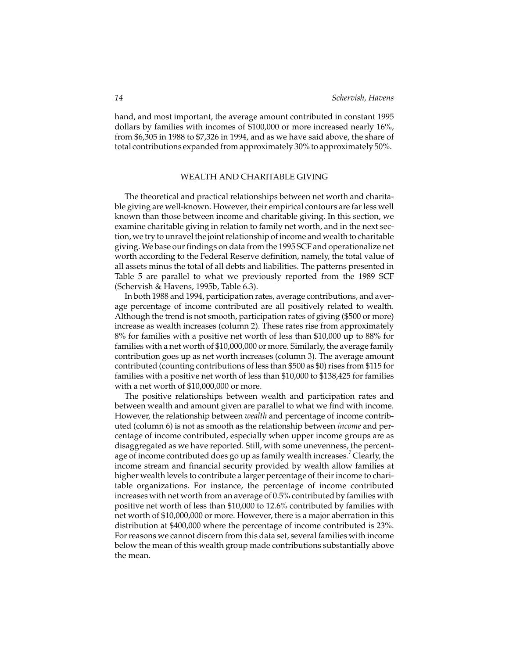hand, and most important, the average amount contributed in constant 1995 dollars by families with incomes of \$100,000 or more increased nearly 16%, from \$6,305 in 1988 to \$7,326 in 1994, and as we have said above, the share of total contributions expanded from approximately 30% to approximately 50%.

## WEALTH AND CHARITABLE GIVING

The theoretical and practical relationships between net worth and charitable giving are well-known. However, their empirical contours are far less well known than those between income and charitable giving. In this section, we examine charitable giving in relation to family net worth, and in the next section, we try to unravel the joint relationship of income and wealth to charitable giving. We base our findings on data from the 1995 SCF and operationalize net worth according to the Federal Reserve definition, namely, the total value of all assets minus the total of all debts and liabilities. The patterns presented in Table 5 are parallel to what we previously reported from the 1989 SCF (Schervish & Havens, 1995b, Table 6.3).

In both 1988 and 1994, participation rates, average contributions, and average percentage of income contributed are all positively related to wealth. Although the trend is not smooth, participation rates of giving (\$500 or more) increase as wealth increases (column 2). These rates rise from approximately 8% for families with a positive net worth of less than \$10,000 up to 88% for families with a net worth of \$10,000,000 or more. Similarly, the average family contribution goes up as net worth increases (column 3). The average amount contributed (counting contributions of less than \$500 as \$0) rises from \$115 for families with a positive net worth of less than \$10,000 to \$138,425 for families with a net worth of \$10,000,000 or more.

The positive relationships between wealth and participation rates and between wealth and amount given are parallel to what we find with income. However, the relationship between *wealth* and percentage of income contributed (column 6) is not as smooth as the relationship between *income* and percentage of income contributed, especially when upper income groups are as disaggregated as we have reported. Still, with some unevenness, the percentage of income contributed does go up as family wealth increases.<sup>7</sup> Clearly, the income stream and financial security provided by wealth allow families at higher wealth levels to contribute a larger percentage of their income to charitable organizations. For instance, the percentage of income contributed increases with net worth from an average of 0.5% contributed by families with positive net worth of less than \$10,000 to 12.6% contributed by families with net worth of \$10,000,000 or more. However, there is a major aberration in this distribution at \$400,000 where the percentage of income contributed is 23%. For reasons we cannot discern from this data set, several families with income below the mean of this wealth group made contributions substantially above the mean.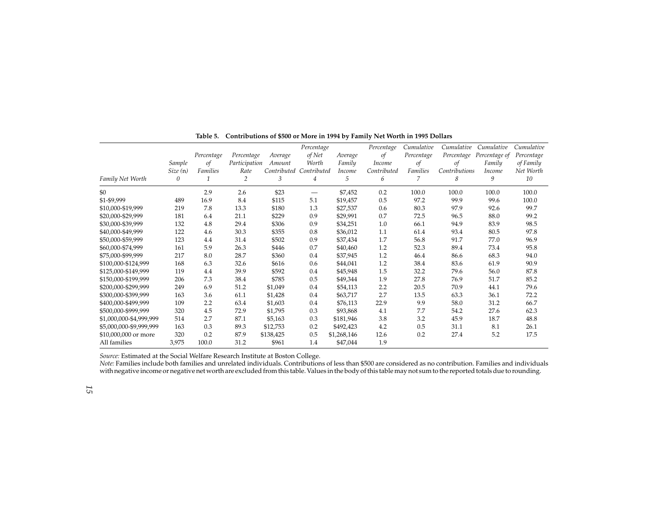|                         |         |            |               |             | Percentage  |             | Percentage  | Cumulative | Cumulative    | Cumulative    | Cumulative |
|-------------------------|---------|------------|---------------|-------------|-------------|-------------|-------------|------------|---------------|---------------|------------|
|                         |         | Percentage | Percentage    | Average     | of Net      | Average     | οf          | Percentage | Percentage    | Percentage of | Percentage |
|                         | Sample  | $\sigma f$ | Participation | Amount      | Worth       | Family      | Income      | οf         | of            | Family        | of Family  |
|                         | Size(n) | Families   | Rate          | Contributed | Contributed | Income      | Contributed | Families   | Contributions | Income        | Net Worth  |
| Family Net Worth        | 0       | 1          | 2             | 3           | 4           | 5           | 6           | 7          | 8             | 9             | 10         |
| \$0                     |         | 2.9        | 2.6           | \$23        | —           | \$7,452     | 0.2         | 100.0      | 100.0         | 100.0         | 100.0      |
| \$1-\$9,999             | 489     | 16.9       | 8.4           | \$115       | 5.1         | \$19,457    | 0.5         | 97.2       | 99.9          | 99.6          | 100.0      |
| \$10,000-\$19,999       | 219     | 7.8        | 13.3          | \$180       | 1.3         | \$27,537    | 0.6         | 80.3       | 97.9          | 92.6          | 99.7       |
| \$20,000-\$29,999       | 181     | 6.4        | 21.1          | \$229       | 0.9         | \$29,991    | 0.7         | 72.5       | 96.5          | 88.0          | 99.2       |
| \$30,000-\$39,999       | 132     | 4.8        | 29.4          | \$306       | 0.9         | \$34,251    | 1.0         | 66.1       | 94.9          | 83.9          | 98.5       |
| \$40,000-\$49,999       | 122     | 4.6        | 30.3          | \$355       | 0.8         | \$36,012    | 1.1         | 61.4       | 93.4          | 80.5          | 97.8       |
| \$50,000-\$59,999       | 123     | 4.4        | 31.4          | \$502       | 0.9         | \$37,434    | 1.7         | 56.8       | 91.7          | 77.0          | 96.9       |
| \$60,000-\$74,999       | 161     | 5.9        | 26.3          | \$446       | 0.7         | \$40,460    | 1.2         | 52.3       | 89.4          | 73.4          | 95.8       |
| \$75,000-\$99,999       | 217     | 8.0        | 28.7          | \$360       | 0.4         | \$37,945    | 1.2         | 46.4       | 86.6          | 68.3          | 94.0       |
| \$100,000-\$124,999     | 168     | 6.3        | 32.6          | \$616       | 0.6         | \$44,041    | 1.2         | 38.4       | 83.6          | 61.9          | 90.9       |
| \$125,000-\$149,999     | 119     | 4.4        | 39.9          | \$592       | 0.4         | \$45,948    | 1.5         | 32.2       | 79.6          | 56.0          | 87.8       |
| \$150,000-\$199,999     | 206     | 7.3        | 38.4          | \$785       | 0.5         | \$49,344    | 1.9         | 27.8       | 76.9          | 51.7          | 85.2       |
| \$200,000-\$299,999     | 249     | 6.9        | 51.2          | \$1,049     | 0.4         | \$54,113    | 2.2         | 20.5       | 70.9          | 44.1          | 79.6       |
| \$300,000-\$399,999     | 163     | 3.6        | 61.1          | \$1,428     | 0.4         | \$63,717    | 2.7         | 13.5       | 63.3          | 36.1          | 72.2       |
| \$400,000-\$499,999     | 109     | 2.2        | 63.4          | \$1,603     | 0.4         | \$76,113    | 22.9        | 9.9        | 58.0          | 31.2          | 66.7       |
| \$500,000-\$999,999     | 320     | 4.5        | 72.9          | \$1,795     | 0.3         | \$93,868    | 4.1         | 7.7        | 54.2          | 27.6          | 62.3       |
| \$1,000,000-\$4,999,999 | 514     | 2.7        | 87.1          | \$5,163     | 0.3         | \$181,946   | 3.8         | 3.2        | 45.9          | 18.7          | 48.8       |
| \$5,000,000-\$9,999,999 | 163     | 0.3        | 89.3          | \$12,753    | 0.2         | \$492,423   | 4.2         | 0.5        | 31.1          | 8.1           | 26.1       |
| \$10,000,000 or more    | 320     | 0.2        | 87.9          | \$138,425   | 0.5         | \$1,268,146 | 12.6        | 0.2        | 27.4          | 5.2           | 17.5       |
| All families            | 3,975   | 100.0      | 31.2          | \$961       | 1.4         | \$47,044    | 1.9         |            |               |               |            |

**Table 5. Contributions of \$500 or More in 1994 by Family Net Worth in 1995 Dollars**

*Note:* Families include both families and unrelated individuals. Contributions of less than \$500 are considered as no contribution. Families and individuals with negative income or negative net worth are excluded from this table. Values in the body of this table may not sum to the reported totals due to rounding.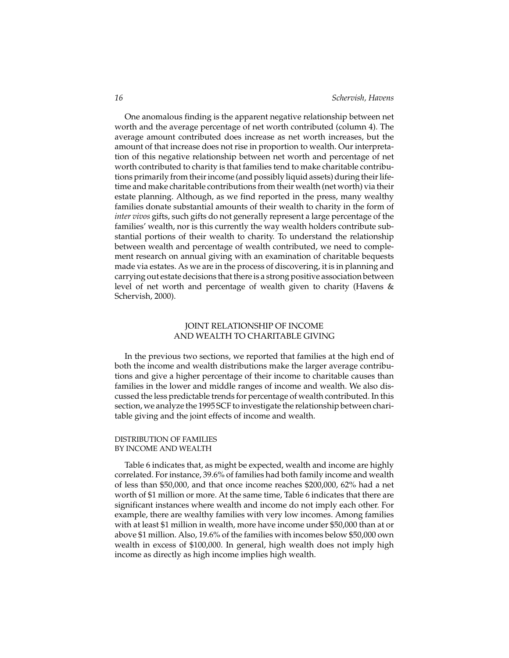One anomalous finding is the apparent negative relationship between net worth and the average percentage of net worth contributed (column 4). The average amount contributed does increase as net worth increases, but the amount of that increase does not rise in proportion to wealth. Our interpretation of this negative relationship between net worth and percentage of net worth contributed to charity is that families tend to make charitable contributions primarily from their income (and possibly liquid assets) during their lifetime and make charitable contributions from their wealth (net worth) via their estate planning. Although, as we find reported in the press, many wealthy families donate substantial amounts of their wealth to charity in the form of *inter vivos* gifts, such gifts do not generally represent a large percentage of the families' wealth, nor is this currently the way wealth holders contribute substantial portions of their wealth to charity. To understand the relationship between wealth and percentage of wealth contributed, we need to complement research on annual giving with an examination of charitable bequests made via estates. As we are in the process of discovering, it is in planning and carrying out estate decisions that there is a strong positive association between level of net worth and percentage of wealth given to charity (Havens & Schervish, 2000).

# JOINT RELATIONSHIP OF INCOME AND WEALTH TO CHARITABLE GIVING

In the previous two sections, we reported that families at the high end of both the income and wealth distributions make the larger average contributions and give a higher percentage of their income to charitable causes than families in the lower and middle ranges of income and wealth. We also discussed the less predictable trends for percentage of wealth contributed. In this section, we analyze the 1995 SCF to investigate the relationship between charitable giving and the joint effects of income and wealth.

# DISTRIBUTION OF FAMILIES BY INCOME AND WEALTH

Table 6 indicates that, as might be expected, wealth and income are highly correlated. For instance, 39.6% of families had both family income and wealth of less than \$50,000, and that once income reaches \$200,000, 62% had a net worth of \$1 million or more. At the same time, Table 6 indicates that there are significant instances where wealth and income do not imply each other. For example, there are wealthy families with very low incomes. Among families with at least \$1 million in wealth, more have income under \$50,000 than at or above \$1 million. Also, 19.6% of the families with incomes below \$50,000 own wealth in excess of \$100,000. In general, high wealth does not imply high income as directly as high income implies high wealth.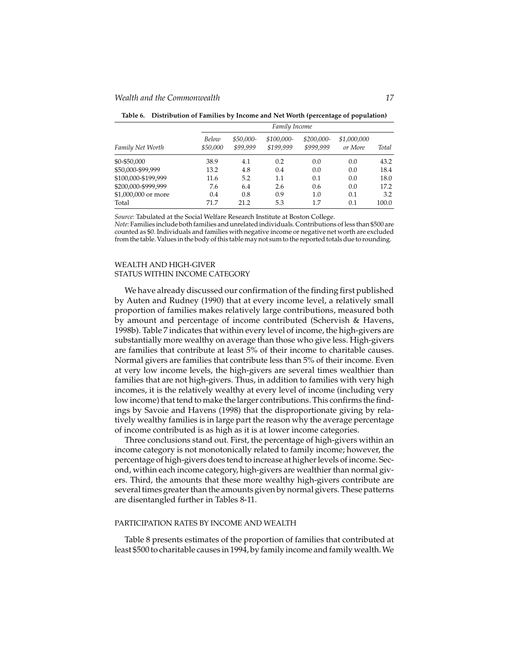|                     |                   | Family Income         |                         |                         |                        |       |  |  |  |  |
|---------------------|-------------------|-----------------------|-------------------------|-------------------------|------------------------|-------|--|--|--|--|
| Family Net Worth    | Below<br>\$50,000 | \$50,000-<br>\$99,999 | \$100,000-<br>\$199,999 | \$200,000-<br>\$999,999 | \$1,000,000<br>or More | Total |  |  |  |  |
| \$0-\$50,000        | 38.9              | 4.1                   | 0.2                     | 0.0                     | 0.0                    | 43.2  |  |  |  |  |
| \$50,000-\$99,999   | 13.2              | 4.8                   | 0.4                     | 0.0                     | 0.0                    | 18.4  |  |  |  |  |
| \$100,000-\$199,999 | 11.6              | 5.2                   | 1.1                     | 0.1                     | 0.0                    | 18.0  |  |  |  |  |
| \$200,000-\$999,999 | 7.6               | 6.4                   | 2.6                     | 0.6                     | 0.0                    | 17.2  |  |  |  |  |
| \$1,000,000 or more | 0.4               | 0.8                   | 0.9                     | 1.0                     | 0.1                    | 3.2   |  |  |  |  |
| Total               | 71.7              | 21.2                  | 5.3                     | 1.7                     | 0.1                    | 100.0 |  |  |  |  |
|                     |                   |                       |                         |                         |                        |       |  |  |  |  |

**Table 6. Distribution of Families by Income and Net Worth (percentage of population)**

*Note:* Families include both families and unrelated individuals. Contributions of less than \$500 are counted as \$0. Individuals and families with negative income or negative net worth are excluded from the table. Values in the body of this table may not sum to the reported totals due to rounding.

# WEALTH AND HIGH-GIVER STATUS WITHIN INCOME CATEGORY

We have already discussed our confirmation of the finding first published by Auten and Rudney (1990) that at every income level, a relatively small proportion of families makes relatively large contributions, measured both by amount and percentage of income contributed (Schervish & Havens, 1998b). Table 7 indicates that within every level of income, the high-givers are substantially more wealthy on average than those who give less. High-givers are families that contribute at least 5% of their income to charitable causes. Normal givers are families that contribute less than 5% of their income. Even at very low income levels, the high-givers are several times wealthier than families that are not high-givers. Thus, in addition to families with very high incomes, it is the relatively wealthy at every level of income (including very low income) that tend to make the larger contributions. This confirms the findings by Savoie and Havens (1998) that the disproportionate giving by relatively wealthy families is in large part the reason why the average percentage of income contributed is as high as it is at lower income categories.

Three conclusions stand out. First, the percentage of high-givers within an income category is not monotonically related to family income; however, the percentage of high-givers does tend to increase at higher levels of income. Second, within each income category, high-givers are wealthier than normal givers. Third, the amounts that these more wealthy high-givers contribute are several times greater than the amounts given by normal givers. These patterns are disentangled further in Tables 8-11.

#### PARTICIPATION RATES BY INCOME AND WEALTH

Table 8 presents estimates of the proportion of families that contributed at least \$500 to charitable causes in 1994, by family income and family wealth. We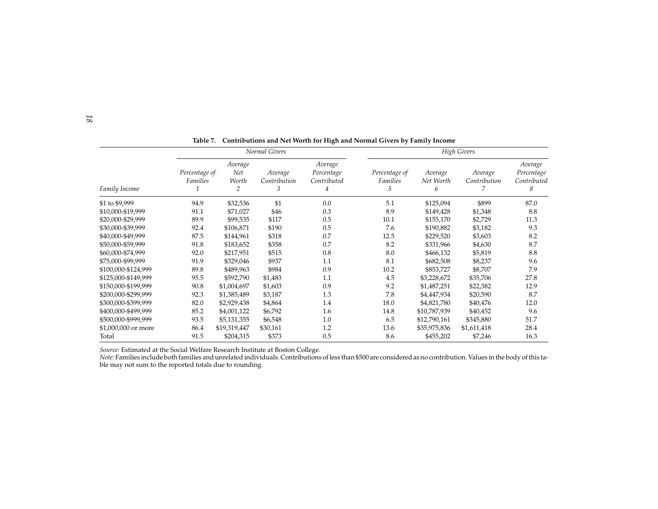|                     |                                  |                              | Normal Givers                |                                           |                                       |                           | <b>High Givers</b> | Average<br>Percentage<br>Average<br>Contributed<br>8<br>87.0<br>\$899<br>8.8<br>\$1,348<br>11.3<br>\$2,729<br>9.3<br>\$3,182<br>8.2<br>\$3,603<br>8.7<br>\$4,630<br>8.8<br>\$5,819<br>\$8,237<br>9.6<br>7.9<br>\$8,707 |  |  |  |  |  |
|---------------------|----------------------------------|------------------------------|------------------------------|-------------------------------------------|---------------------------------------|---------------------------|--------------------|------------------------------------------------------------------------------------------------------------------------------------------------------------------------------------------------------------------------|--|--|--|--|--|
| Family Income       | Percentage of<br><b>Families</b> | Average<br>Net<br>Worth<br>2 | Average<br>Contribution<br>3 | Average<br>Percentage<br>Contributed<br>4 | Percentage of<br><b>Families</b><br>5 | Average<br>Net Worth<br>6 | Contribution       |                                                                                                                                                                                                                        |  |  |  |  |  |
| \$1 to \$9,999      | 94.9                             | \$32,536                     | \$1                          | 0.0                                       | 5.1                                   | \$125,094                 |                    |                                                                                                                                                                                                                        |  |  |  |  |  |
| \$10,000-\$19,999   | 91.1                             | \$71,027                     | \$46                         | 0.3                                       | 8.9                                   | \$149,428                 |                    |                                                                                                                                                                                                                        |  |  |  |  |  |
| \$20,000-\$29,999   | 89.9                             | \$99,535                     | \$117                        | 0.5                                       | 10.1                                  | \$155,170                 |                    |                                                                                                                                                                                                                        |  |  |  |  |  |
| \$30,000-\$39,999   | 92.4                             | \$106,871                    | \$190                        | 0.5                                       | 7.6                                   | \$190,882                 |                    |                                                                                                                                                                                                                        |  |  |  |  |  |
| \$40,000-\$49,999   | 87.5                             | \$144,961                    | \$318                        | 0.7                                       | 12.5                                  | \$229,520                 |                    |                                                                                                                                                                                                                        |  |  |  |  |  |
| \$50,000-\$59,999   | 91.8                             | \$183,652                    | \$358                        | 0.7                                       | 8.2                                   | \$331,966                 |                    |                                                                                                                                                                                                                        |  |  |  |  |  |
| \$60,000-\$74,999   | 92.0                             | \$217,951                    | \$515                        | 0.8                                       | 8.0                                   | \$466,132                 |                    |                                                                                                                                                                                                                        |  |  |  |  |  |
| \$75,000-\$99,999   | 91.9                             | \$329,046                    | \$937                        | 1.1                                       | 8.1                                   | \$682,508                 |                    |                                                                                                                                                                                                                        |  |  |  |  |  |
| \$100,000-\$124,999 | 89.8                             | \$489,963                    | \$984                        | 0.9                                       | 10.2                                  | \$853,727                 |                    |                                                                                                                                                                                                                        |  |  |  |  |  |
| \$125,000-\$149,999 | 95.5                             | \$592,790                    | \$1,483                      | 1.1                                       | 4.5                                   | \$3,228,672               | \$35,706           | 27.8                                                                                                                                                                                                                   |  |  |  |  |  |
| \$150,000-\$199,999 | 90.8                             | \$1,004,697                  | \$1,603                      | 0.9                                       | 9.2                                   | \$1,487,251               | \$22,382           | 12.9                                                                                                                                                                                                                   |  |  |  |  |  |
| \$200,000-\$299,999 | 92.3                             | \$1,385,489                  | \$3,187                      | 1.3                                       | 7.8                                   | \$4,447,934               | \$20,590           | 8.7                                                                                                                                                                                                                    |  |  |  |  |  |
| \$300,000-\$399,999 | 82.0                             | \$2,929,438                  | \$4,864                      | 1.4                                       | 18.0                                  | \$4,821,780               | \$40,476           | 12.0                                                                                                                                                                                                                   |  |  |  |  |  |
| \$400,000-\$499,999 | 85.2                             | \$4,001,122                  | \$6,792                      | 1.6                                       | 14.8                                  | \$10,787,939              | \$40,452           | 9.6                                                                                                                                                                                                                    |  |  |  |  |  |
| \$500,000-\$999,999 | 93.5                             | \$5,131,355                  | \$6,548                      | 1.0                                       | 6.5                                   | \$12,790,161              | \$345,880          | 51.7                                                                                                                                                                                                                   |  |  |  |  |  |
| \$1,000,000 or more | 86.4                             | \$19,319,447                 | \$30,161                     | 1.2                                       | 13.6                                  | \$35,975,836              | \$1,611,418        | 28.4                                                                                                                                                                                                                   |  |  |  |  |  |
| Total               | 91.5                             | \$204,315                    | \$373                        | 0.5                                       | 8.6                                   | \$455,202                 | \$7,246            | 16.3                                                                                                                                                                                                                   |  |  |  |  |  |

**Table 7. Contributions and Net Worth for High and Normal Givers by Family Income**

*Source: Es*timated at the Social Welfare Research Institute at Boston College.<br>N*ote:* Families include both families and unrelated individuals. Contributions of less than \$500 are considered as no contribution. Values in ble may not sum to the reported totals due to rounding.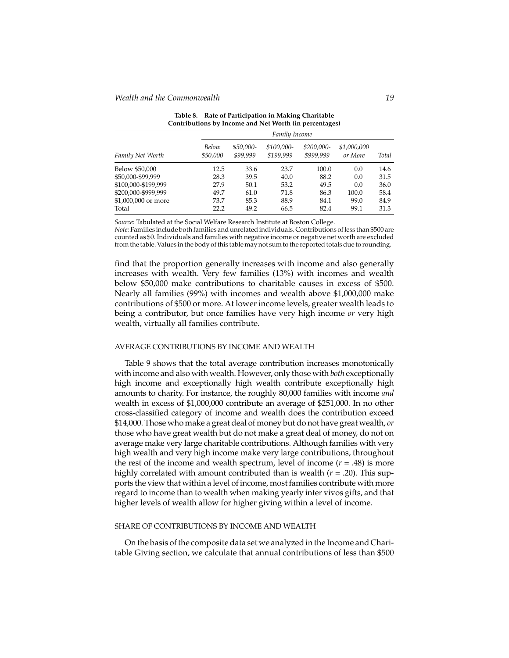|                     |                   | Family Income         |                         |                         |                        |       |  |  |  |  |
|---------------------|-------------------|-----------------------|-------------------------|-------------------------|------------------------|-------|--|--|--|--|
| Family Net Worth    | Below<br>\$50,000 | \$50,000-<br>\$99.999 | \$100,000-<br>\$199.999 | \$200,000-<br>\$999.999 | \$1,000,000<br>or More | Total |  |  |  |  |
| Below \$50,000      | 12.5              | 33.6                  | 23.7                    | 100.0                   | 0.0                    | 14.6  |  |  |  |  |
| \$50,000-\$99,999   | 28.3              | 39.5                  | 40.0                    | 88.2                    | 0.0                    | 31.5  |  |  |  |  |
| \$100,000-\$199,999 | 27.9              | 50.1                  | 53.2                    | 49.5                    | 0.0                    | 36.0  |  |  |  |  |
| \$200,000-\$999,999 | 49.7              | 61.0                  | 71.8                    | 86.3                    | 100.0                  | 58.4  |  |  |  |  |
| \$1,000,000 or more | 73.7              | 85.3                  | 88.9                    | 84.1                    | 99.0                   | 84.9  |  |  |  |  |
| Total               | 22.2              | 49.2                  | 66.5                    | 82.4                    | 99.1                   | 31.3  |  |  |  |  |

| Table 8. | Rate of Participation in Making Charitable             |
|----------|--------------------------------------------------------|
|          | Contributions by Income and Net Worth (in percentages) |

*Note:* Families include both families and unrelated individuals. Contributions of less than \$500 are counted as \$0. Individuals and families with negative income or negative net worth are excluded from the table. Values in the body of this table may not sum to the reported totals due to rounding.

find that the proportion generally increases with income and also generally increases with wealth. Very few families (13%) with incomes and wealth below \$50,000 make contributions to charitable causes in excess of \$500. Nearly all families (99%) with incomes and wealth above \$1,000,000 make contributions of \$500 or more. At lower income levels, greater wealth leads to being a contributor, but once families have very high income *or* very high wealth, virtually all families contribute.

# AVERAGE CONTRIBUTIONS BY INCOME AND WEALTH

Table 9 shows that the total average contribution increases monotonically with income and also with wealth. However, only those with *both* exceptionally high income and exceptionally high wealth contribute exceptionally high amounts to charity. For instance, the roughly 80,000 families with income *and* wealth in excess of \$1,000,000 contribute an average of \$251,000. In no other cross-classified category of income and wealth does the contribution exceed \$14,000. Those who make a great deal of money but do not have great wealth, *or* those who have great wealth but do not make a great deal of money, do not on average make very large charitable contributions. Although families with very high wealth and very high income make very large contributions, throughout the rest of the income and wealth spectrum, level of income  $(r = .48)$  is more highly correlated with amount contributed than is wealth (*r* = .20). This supports the view that within a level of income, most families contribute with more regard to income than to wealth when making yearly inter vivos gifts, and that higher levels of wealth allow for higher giving within a level of income.

#### SHARE OF CONTRIBUTIONS BY INCOME AND WEALTH

On the basis of the composite data set we analyzed in the Income and Charitable Giving section, we calculate that annual contributions of less than \$500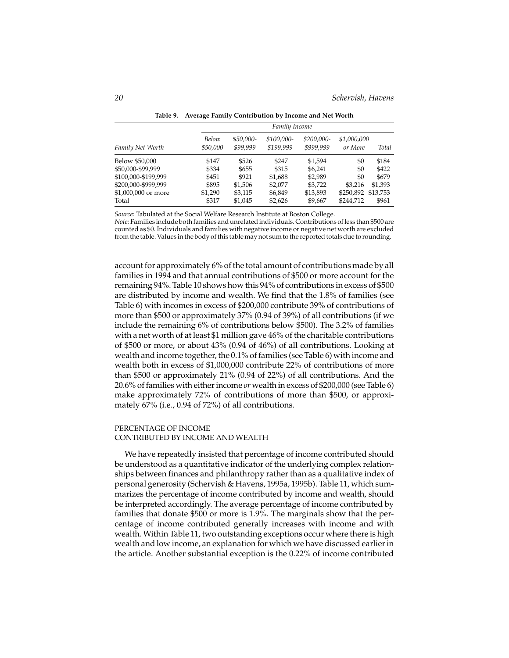|                     |                   | Family Income         |                         |                         |                        |          |  |  |  |
|---------------------|-------------------|-----------------------|-------------------------|-------------------------|------------------------|----------|--|--|--|
| Family Net Worth    | Below<br>\$50,000 | \$50,000-<br>\$99.999 | \$100,000-<br>\$199.999 | \$200,000-<br>\$999.999 | \$1,000,000<br>or More | Total    |  |  |  |
| Below \$50,000      | \$147             | \$526                 | \$247                   | \$1,594                 | \$0                    | \$184    |  |  |  |
| \$50,000-\$99,999   | \$334             | \$655                 | \$315                   | \$6,241                 | \$0                    | \$422    |  |  |  |
| \$100,000-\$199,999 | \$451             | \$921                 | \$1,688                 | \$2,989                 | \$0                    | \$679    |  |  |  |
| \$200,000-\$999,999 | \$895             | \$1,506               | \$2,077                 | \$3,722                 | \$3,216                | \$1,393  |  |  |  |
| \$1,000,000 or more | \$1,290           | \$3,115               | \$6,849                 | \$13,893                | \$250,892              | \$13,753 |  |  |  |
| Total               | \$317             | \$1,045               | \$2,626                 | \$9,667                 | \$244,712              | \$961    |  |  |  |

**Table 9. Average Family Contribution by Income and Net Worth**

*Note:* Families include both families and unrelated individuals. Contributions of less than \$500 are counted as \$0. Individuals and families with negative income or negative net worth are excluded from the table. Values in the body of this table may not sum to the reported totals due to rounding.

account for approximately 6% of the total amount of contributions made by all families in 1994 and that annual contributions of \$500 or more account for the remaining 94%. Table 10 shows how this 94% of contributions in excess of \$500 are distributed by income and wealth. We find that the 1.8% of families (see Table 6) with incomes in excess of \$200,000 contribute 39% of contributions of more than \$500 or approximately 37% (0.94 of 39%) of all contributions (if we include the remaining 6% of contributions below \$500). The 3.2% of families with a net worth of at least \$1 million gave 46% of the charitable contributions of \$500 or more, or about 43% (0.94 of 46%) of all contributions. Looking at wealth and income together, the 0.1% of families (see Table 6) with income and wealth both in excess of \$1,000,000 contribute 22% of contributions of more than \$500 or approximately 21% (0.94 of 22%) of all contributions. And the 20.6% of families with either income *or* wealth in excess of \$200,000 (see Table 6) make approximately 72% of contributions of more than \$500, or approximately 67% (i.e., 0.94 of 72%) of all contributions.

#### PERCENTAGE OF INCOME CONTRIBUTED BY INCOME AND WEALTH

We have repeatedly insisted that percentage of income contributed should be understood as a quantitative indicator of the underlying complex relationships between finances and philanthropy rather than as a qualitative index of personal generosity (Schervish & Havens, 1995a, 1995b). Table 11, which summarizes the percentage of income contributed by income and wealth, should be interpreted accordingly. The average percentage of income contributed by families that donate \$500 or more is 1.9%. The marginals show that the percentage of income contributed generally increases with income and with wealth. Within Table 11, two outstanding exceptions occur where there is high wealth and low income, an explanation for which we have discussed earlier in the article. Another substantial exception is the 0.22% of income contributed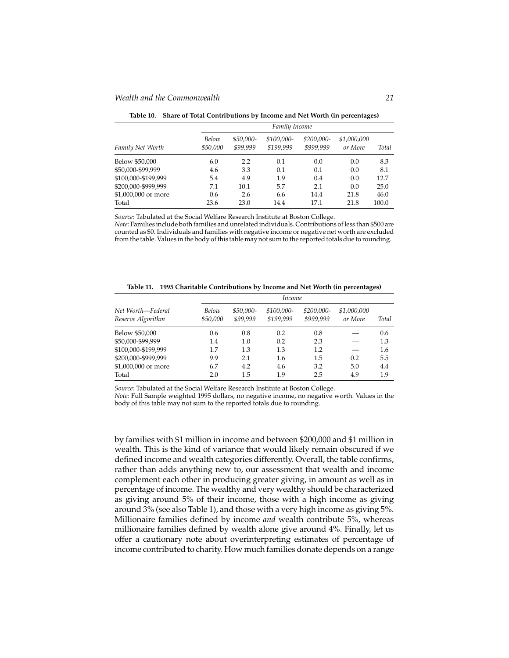|                     |                   | Family Income         |                         |                         |                        |       |  |  |  |  |
|---------------------|-------------------|-----------------------|-------------------------|-------------------------|------------------------|-------|--|--|--|--|
| Family Net Worth    | Below<br>\$50,000 | \$50,000-<br>\$99.999 | \$100,000-<br>\$199.999 | \$200,000-<br>\$999.999 | \$1,000,000<br>or More | Total |  |  |  |  |
| Below \$50,000      | 6.0               | 2.2                   | 0.1                     | 0.0                     | 0.0                    | 8.3   |  |  |  |  |
| \$50,000-\$99,999   | 4.6               | 3.3                   | 0.1                     | 0.1                     | 0.0                    | 8.1   |  |  |  |  |
| \$100,000-\$199,999 | 5.4               | 4.9                   | 1.9                     | 0.4                     | 0.0                    | 12.7  |  |  |  |  |
| \$200,000-\$999,999 | 7.1               | 10.1                  | 5.7                     | 2.1                     | 0.0                    | 25.0  |  |  |  |  |
| \$1,000,000 or more | 0.6               | 2.6                   | 6.6                     | 14.4                    | 21.8                   | 46.0  |  |  |  |  |
| Total               | 23.6              | 23.0                  | 14.4                    | 17.1                    | 21.8                   | 100.0 |  |  |  |  |
|                     |                   |                       |                         |                         |                        |       |  |  |  |  |

**Table 10. Share of Total Contributions by Income and Net Worth (in percentages)**

*Note:* Families include both families and unrelated individuals. Contributions of less than \$500 are counted as \$0. Individuals and families with negative income or negative net worth are excluded from the table. Values in the body of this table may not sum to the reported totals due to rounding.

| Net Worth—Federal<br>Reserve Algorithm | Income            |                       |                         |                         |                        |       |
|----------------------------------------|-------------------|-----------------------|-------------------------|-------------------------|------------------------|-------|
|                                        | Below<br>\$50,000 | \$50,000-<br>\$99.999 | \$100,000-<br>\$199.999 | \$200,000-<br>\$999.999 | \$1,000,000<br>or More | Total |
| Below \$50,000                         | 0.6               | 0.8                   | 0.2                     | 0.8                     |                        | 0.6   |
| \$50,000-\$99,999                      | 1.4               | 1.0                   | 0.2                     | 2.3                     |                        | 1.3   |
| \$100,000-\$199,999                    | 1.7               | 1.3                   | 1.3                     | 1.2                     |                        | 1.6   |
| \$200,000-\$999,999                    | 9.9               | 2.1                   | 1.6                     | 1.5                     | 0.2                    | 5.5   |
| \$1,000,000 or more                    | 6.7               | 4.2                   | 4.6                     | 3.2                     | 5.0                    | 4.4   |
| Total                                  | 2.0               | 1.5                   | 1.9                     | 2.5                     | 4.9                    | 1.9   |

**Table 11. 1995 Charitable Contributions by Income and Net Worth (in percentages)**

*Source:* Tabulated at the Social Welfare Research Institute at Boston College.

*Note:* Full Sample weighted 1995 dollars, no negative income, no negative worth. Values in the body of this table may not sum to the reported totals due to rounding.

by families with \$1 million in income and between \$200,000 and \$1 million in wealth. This is the kind of variance that would likely remain obscured if we defined income and wealth categories differently. Overall, the table confirms, rather than adds anything new to, our assessment that wealth and income complement each other in producing greater giving, in amount as well as in percentage of income. The wealthy and very wealthy should be characterized as giving around 5% of their income, those with a high income as giving around 3% (see also Table 1), and those with a very high income as giving 5%. Millionaire families defined by income *and* wealth contribute 5%, whereas millionaire families defined by wealth alone give around 4%. Finally, let us offer a cautionary note about overinterpreting estimates of percentage of income contributed to charity. How much families donate depends on a range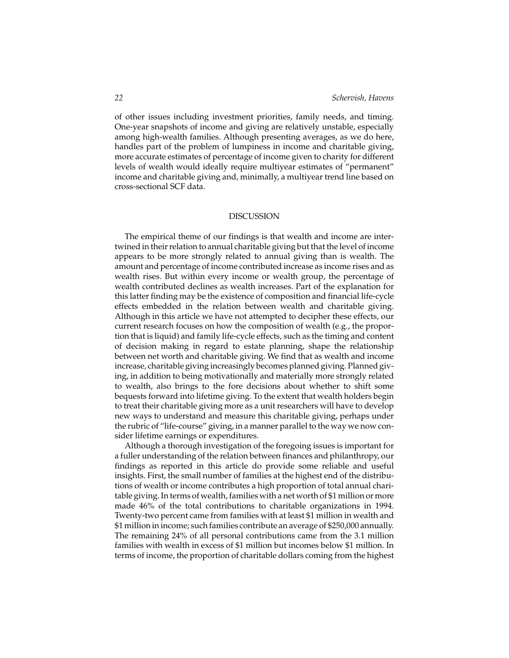of other issues including investment priorities, family needs, and timing. One-year snapshots of income and giving are relatively unstable, especially among high-wealth families. Although presenting averages, as we do here, handles part of the problem of lumpiness in income and charitable giving, more accurate estimates of percentage of income given to charity for different levels of wealth would ideally require multiyear estimates of "permanent" income and charitable giving and, minimally, a multiyear trend line based on cross-sectional SCF data.

#### DISCUSSION

The empirical theme of our findings is that wealth and income are intertwined in their relation to annual charitable giving but that the level of income appears to be more strongly related to annual giving than is wealth. The amount and percentage of income contributed increase as income rises and as wealth rises. But within every income or wealth group, the percentage of wealth contributed declines as wealth increases. Part of the explanation for this latter finding may be the existence of composition and financial life-cycle effects embedded in the relation between wealth and charitable giving. Although in this article we have not attempted to decipher these effects, our current research focuses on how the composition of wealth (e.g., the proportion that is liquid) and family life-cycle effects, such as the timing and content of decision making in regard to estate planning, shape the relationship between net worth and charitable giving. We find that as wealth and income increase, charitable giving increasingly becomes planned giving. Planned giving, in addition to being motivationally and materially more strongly related to wealth, also brings to the fore decisions about whether to shift some bequests forward into lifetime giving. To the extent that wealth holders begin to treat their charitable giving more as a unit researchers will have to develop new ways to understand and measure this charitable giving, perhaps under the rubric of "life-course" giving, in a manner parallel to the way we now consider lifetime earnings or expenditures.

Although a thorough investigation of the foregoing issues is important for a fuller understanding of the relation between finances and philanthropy, our findings as reported in this article do provide some reliable and useful insights. First, the small number of families at the highest end of the distributions of wealth or income contributes a high proportion of total annual charitable giving. In terms of wealth, families with a net worth of \$1 million or more made 46% of the total contributions to charitable organizations in 1994. Twenty-two percent came from families with at least \$1 million in wealth and \$1 million in income; such families contribute an average of \$250,000 annually. The remaining 24% of all personal contributions came from the 3.1 million families with wealth in excess of \$1 million but incomes below \$1 million. In terms of income, the proportion of charitable dollars coming from the highest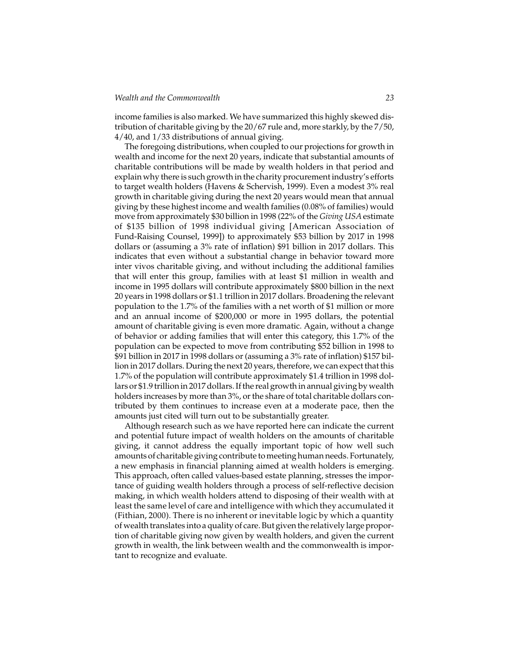## *Wealth and the Commonwealth 23*

income families is also marked. We have summarized this highly skewed distribution of charitable giving by the 20/67 rule and, more starkly, by the 7/50, 4/40, and 1/33 distributions of annual giving.

The foregoing distributions, when coupled to our projections for growth in wealth and income for the next 20 years, indicate that substantial amounts of charitable contributions will be made by wealth holders in that period and explain why there is such growth in the charity procurement industry's efforts to target wealth holders (Havens & Schervish, 1999). Even a modest 3% real growth in charitable giving during the next 20 years would mean that annual giving by these highest income and wealth families (0.08% of families) would move from approximately \$30 billion in 1998 (22% of the *Giving USA* estimate of \$135 billion of 1998 individual giving [American Association of Fund-Raising Counsel, 1999]) to approximately \$53 billion by 2017 in 1998 dollars or (assuming a 3% rate of inflation) \$91 billion in 2017 dollars. This indicates that even without a substantial change in behavior toward more inter vivos charitable giving, and without including the additional families that will enter this group, families with at least \$1 million in wealth and income in 1995 dollars will contribute approximately \$800 billion in the next 20 years in 1998 dollars or \$1.1 trillion in 2017 dollars. Broadening the relevant population to the 1.7% of the families with a net worth of \$1 million or more and an annual income of \$200,000 or more in 1995 dollars, the potential amount of charitable giving is even more dramatic. Again, without a change of behavior or adding families that will enter this category, this 1.7% of the population can be expected to move from contributing \$52 billion in 1998 to \$91 billion in 2017 in 1998 dollars or (assuming a 3% rate of inflation) \$157 billion in 2017 dollars. During the next 20 years, therefore, we can expect that this 1.7% of the population will contribute approximately \$1.4 trillion in 1998 dollars or \$1.9 trillion in 2017 dollars. If the real growth in annual giving by wealth holders increases by more than 3%, or the share of total charitable dollars contributed by them continues to increase even at a moderate pace, then the amounts just cited will turn out to be substantially greater.

Although research such as we have reported here can indicate the current and potential future impact of wealth holders on the amounts of charitable giving, it cannot address the equally important topic of how well such amounts of charitable giving contribute to meeting human needs. Fortunately, a new emphasis in financial planning aimed at wealth holders is emerging. This approach, often called values-based estate planning, stresses the importance of guiding wealth holders through a process of self-reflective decision making, in which wealth holders attend to disposing of their wealth with at least the same level of care and intelligence with which they accumulated it (Fithian, 2000). There is no inherent or inevitable logic by which a quantity of wealth translates into a quality of care. But given the relatively large proportion of charitable giving now given by wealth holders, and given the current growth in wealth, the link between wealth and the commonwealth is important to recognize and evaluate.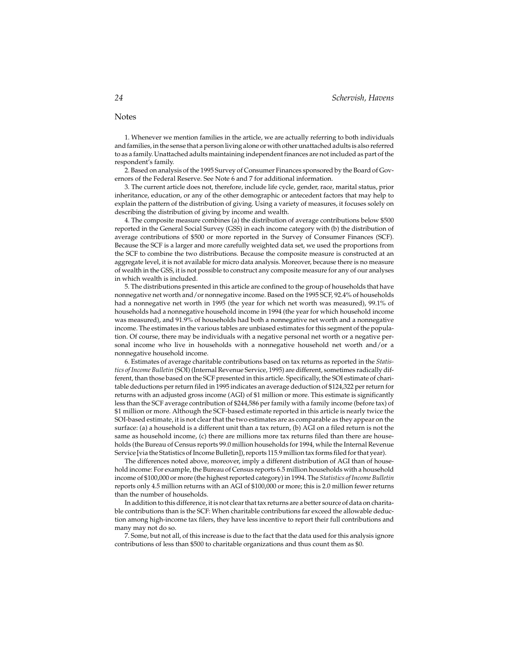Notes

1. Whenever we mention families in the article, we are actually referring to both individuals and families, in the sense that a person living alone or with other unattached adults is also referred to as a family. Unattached adults maintaining independent finances are not included as part of the respondent's family.

2. Based on analysis of the 1995 Survey of Consumer Finances sponsored by the Board of Governors of the Federal Reserve. See Note 6 and 7 for additional information.

3. The current article does not, therefore, include life cycle, gender, race, marital status, prior inheritance, education, or any of the other demographic or antecedent factors that may help to explain the pattern of the distribution of giving. Using a variety of measures, it focuses solely on describing the distribution of giving by income and wealth.

4. The composite measure combines (a) the distribution of average contributions below \$500 reported in the General Social Survey (GSS) in each income category with (b) the distribution of average contributions of \$500 or more reported in the Survey of Consumer Finances (SCF). Because the SCF is a larger and more carefully weighted data set, we used the proportions from the SCF to combine the two distributions. Because the composite measure is constructed at an aggregate level, it is not available for micro data analysis. Moreover, because there is no measure of wealth in the GSS, it is not possible to construct any composite measure for any of our analyses in which wealth is included.

5. The distributions presented in this article are confined to the group of households that have nonnegative net worth and/or nonnegative income. Based on the 1995 SCF, 92.4% of households had a nonnegative net worth in 1995 (the year for which net worth was measured), 99.1% of households had a nonnegative household income in 1994 (the year for which household income was measured), and 91.9% of households had both a nonnegative net worth and a nonnegative income. The estimates in the various tables are unbiased estimates for this segment of the population. Of course, there may be individuals with a negative personal net worth or a negative personal income who live in households with a nonnegative household net worth and/or a nonnegative household income.

6. Estimates of average charitable contributions based on tax returns as reported in the *Statistics of Income Bulletin* (SOI) (Internal Revenue Service, 1995) are different, sometimes radically different, than those based on the SCF presented in this article. Specifically, the SOI estimate of charitable deductions per return filed in 1995 indicates an average deduction of \$124,322 per return for returns with an adjusted gross income (AGI) of \$1 million or more. This estimate is significantly less than the SCF average contribution of \$244,586 per family with a family income (before tax) of \$1 million or more. Although the SCF-based estimate reported in this article is nearly twice the SOI-based estimate, it is not clear that the two estimates are as comparable as they appear on the surface: (a) a household is a different unit than a tax return, (b) AGI on a filed return is not the same as household income, (c) there are millions more tax returns filed than there are households (the Bureau of Census reports 99.0 million households for 1994, while the Internal Revenue Service [via the Statistics of Income Bulletin]), reports 115.9 million tax forms filed for that year).

The differences noted above, moreover, imply a different distribution of AGI than of household income: For example, the Bureau of Census reports 6.5 million households with a household income of \$100,000 or more (the highest reported category) in 1994. The *Statistics of Income Bulletin* reports only 4.5 million returns with an AGI of \$100,000 or more; this is 2.0 million fewer returns than the number of households.

In addition to this difference, it is not clear that tax returns are a better source of data on charitable contributions than is the SCF: When charitable contributions far exceed the allowable deduction among high-income tax filers, they have less incentive to report their full contributions and many may not do so.

7. Some, but not all, of this increase is due to the fact that the data used for this analysis ignore contributions of less than \$500 to charitable organizations and thus count them as \$0.